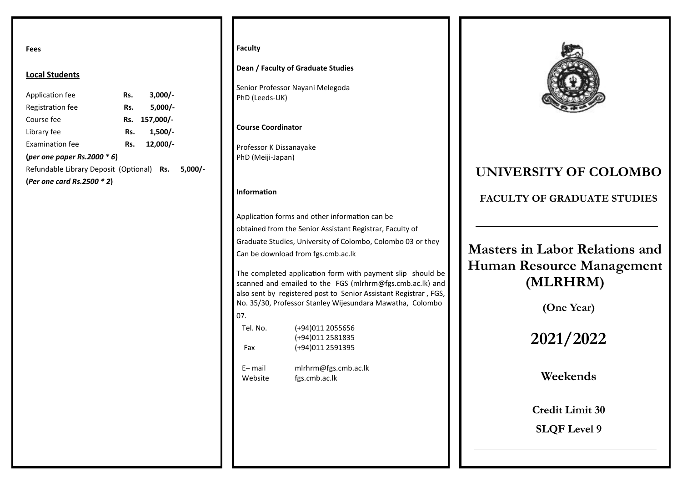**Fees**

### **Local Students**

| Application fee                                   | Rs. | $3,000/-$     |  |
|---------------------------------------------------|-----|---------------|--|
| Registration fee                                  | Rs. | $5.000/-$     |  |
| Course fee                                        |     | Rs. 157,000/- |  |
| Library fee                                       | Rs. | $1,500/-$     |  |
| <b>Examination fee</b>                            | Rs. | $12.000/-$    |  |
| (per one paper Rs.2000 $*$ 6)                     |     |               |  |
| Refundable Library Deposit (Optional) Rs. 5,000/- |     |               |  |
| (Per one card Rs.2500 $*$ 2)                      |     |               |  |

### **Faculty**

**Dean / Faculty of Graduate Studies**

Senior Professor Nayani Melegoda PhD (Leeds-UK)

### **Course Coordinator**

Professor K Dissanayake PhD (Meiji-Japan)

### **Information**

Application forms and other information can be obtained from the Senior Assistant Registrar, Faculty of Graduate Studies, University of Colombo, Colombo 03 or they Can be download from fgs.cmb.ac.lk

The completed application form with payment slip should be scanned and emailed to the FGS (mlrhrm@fgs.cmb.ac.lk) and also sent by registered post to Senior Assistant Registrar , FGS, No. 35/30, Professor Stanley Wijesundara Mawatha, Colombo 07.

| Tel. No. | (+94)011 2055656 |
|----------|------------------|
|          | (+94)011 2581835 |
| Fax      | (+94)011 2591395 |

 E– mail mlrhrm@fgs.cmb.ac.lk Website fgs.cmb.ac.lk



# **UNIVERSITY OF COLOMBO**

**FACULTY OF GRADUATE STUDIES**

**Masters in Labor Relations and Human Resource Management (MLRHRM)**

**(One Year)**

**2021/2022**

**Weekends** 

**Credit Limit 30 SLQF Level 9**